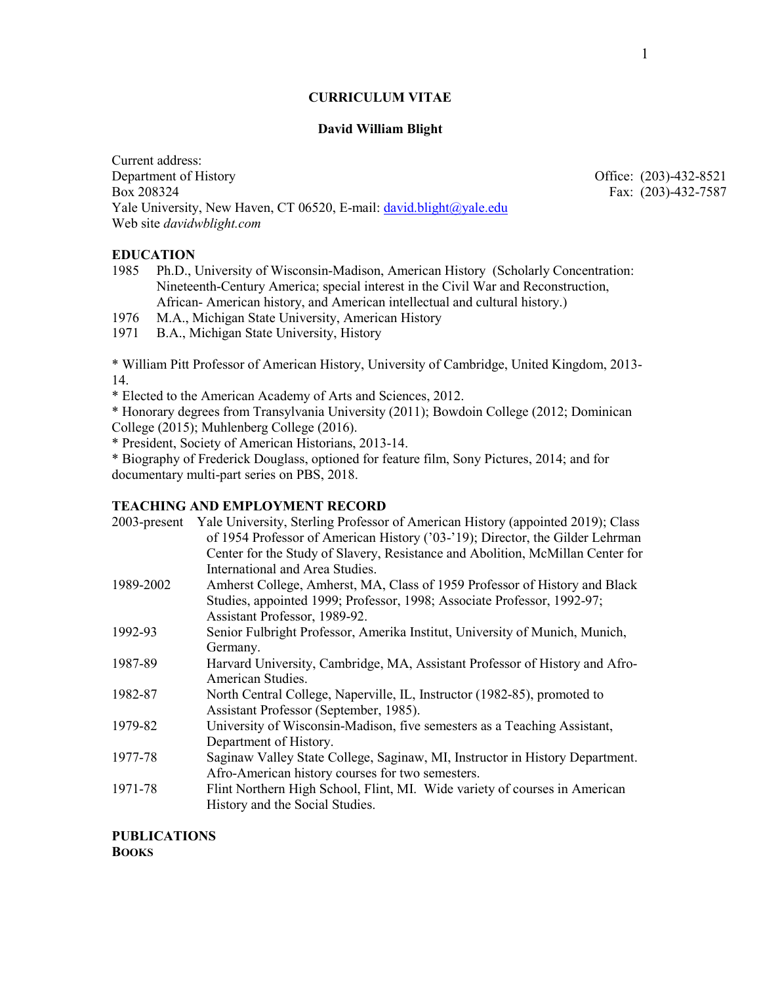## **CURRICULUM VITAE**

## **David William Blight**

Current address: Department of History Office: (203)-432-8521 Box 208324 Fax: (203)-432-7587 Yale University, New Haven, CT 06520, E-mail[: david.blight@yale.edu](mailto:david.blight@yale.edu) Web site *davidwblight.com*

**EDUCATION**

1985 Ph.D., University of Wisconsin-Madison, American History (Scholarly Concentration: Nineteenth-Century America; special interest in the Civil War and Reconstruction, African- American history, and American intellectual and cultural history.)

1976 M.A., Michigan State University, American History

1971 B.A., Michigan State University, History

\* William Pitt Professor of American History, University of Cambridge, United Kingdom, 2013- 14.

\* Elected to the American Academy of Arts and Sciences, 2012.

\* Honorary degrees from Transylvania University (2011); Bowdoin College (2012; Dominican College (2015); Muhlenberg College (2016).

\* President, Society of American Historians, 2013-14.

\* Biography of Frederick Douglass, optioned for feature film, Sony Pictures, 2014; and for documentary multi-part series on PBS, 2018.

# **TEACHING AND EMPLOYMENT RECORD**

| $2003$ -present | Yale University, Sterling Professor of American History (appointed 2019); Class<br>of 1954 Professor of American History ('03-'19); Director, the Gilder Lehrman<br>Center for the Study of Slavery, Resistance and Abolition, McMillan Center for |
|-----------------|----------------------------------------------------------------------------------------------------------------------------------------------------------------------------------------------------------------------------------------------------|
|                 | International and Area Studies.                                                                                                                                                                                                                    |
| 1989-2002       | Amherst College, Amherst, MA, Class of 1959 Professor of History and Black                                                                                                                                                                         |
|                 | Studies, appointed 1999; Professor, 1998; Associate Professor, 1992-97;                                                                                                                                                                            |
|                 | Assistant Professor, 1989-92.                                                                                                                                                                                                                      |
| 1992-93         | Senior Fulbright Professor, Amerika Institut, University of Munich, Munich,                                                                                                                                                                        |
|                 | Germany.                                                                                                                                                                                                                                           |
| 1987-89         | Harvard University, Cambridge, MA, Assistant Professor of History and Afro-                                                                                                                                                                        |
|                 | American Studies.                                                                                                                                                                                                                                  |
| 1982-87         | North Central College, Naperville, IL, Instructor (1982-85), promoted to<br>Assistant Professor (September, 1985).                                                                                                                                 |
| 1979-82         | University of Wisconsin-Madison, five semesters as a Teaching Assistant,                                                                                                                                                                           |
|                 | Department of History.                                                                                                                                                                                                                             |
| 1977-78         | Saginaw Valley State College, Saginaw, MI, Instructor in History Department.<br>Afro-American history courses for two semesters.                                                                                                                   |
| 1971-78         | Flint Northern High School, Flint, MI. Wide variety of courses in American<br>History and the Social Studies.                                                                                                                                      |

**PUBLICATIONS BOOKS**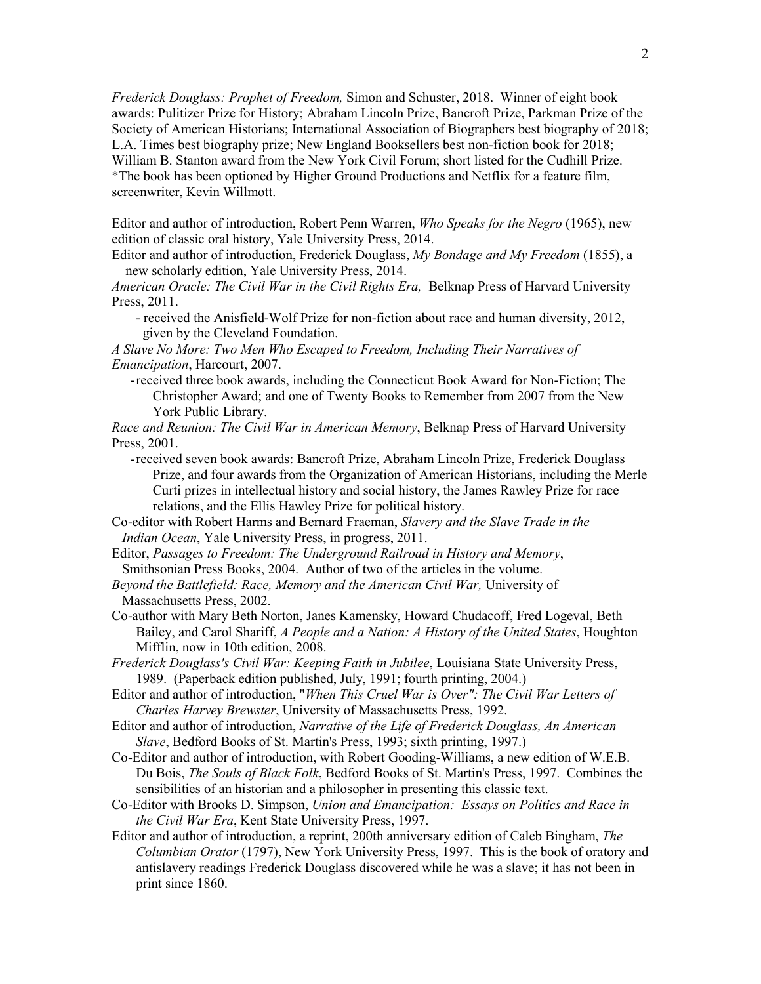*Frederick Douglass: Prophet of Freedom,* Simon and Schuster, 2018. Winner of eight book awards: Pulitizer Prize for History; Abraham Lincoln Prize, Bancroft Prize, Parkman Prize of the Society of American Historians; International Association of Biographers best biography of 2018; L.A. Times best biography prize; New England Booksellers best non-fiction book for 2018; William B. Stanton award from the New York Civil Forum; short listed for the Cudhill Prize. \*The book has been optioned by Higher Ground Productions and Netflix for a feature film, screenwriter, Kevin Willmott.

Editor and author of introduction, Robert Penn Warren, *Who Speaks for the Negro* (1965), new edition of classic oral history, Yale University Press, 2014.

Editor and author of introduction, Frederick Douglass, *My Bondage and My Freedom* (1855), a new scholarly edition, Yale University Press, 2014.

*American Oracle: The Civil War in the Civil Rights Era,* Belknap Press of Harvard University Press, 2011.

 - received the Anisfield-Wolf Prize for non-fiction about race and human diversity, 2012, given by the Cleveland Foundation.

*A Slave No More: Two Men Who Escaped to Freedom, Including Their Narratives of Emancipation*, Harcourt, 2007.

-received three book awards, including the Connecticut Book Award for Non-Fiction; The Christopher Award; and one of Twenty Books to Remember from 2007 from the New York Public Library.

*Race and Reunion: The Civil War in American Memory*, Belknap Press of Harvard University Press, 2001.

-received seven book awards: Bancroft Prize, Abraham Lincoln Prize, Frederick Douglass Prize, and four awards from the Organization of American Historians, including the Merle Curti prizes in intellectual history and social history, the James Rawley Prize for race relations, and the Ellis Hawley Prize for political history.

Co-editor with Robert Harms and Bernard Fraeman, *Slavery and the Slave Trade in the Indian Ocean*, Yale University Press, in progress, 2011.

Editor, *Passages to Freedom: The Underground Railroad in History and Memory*, Smithsonian Press Books, 2004. Author of two of the articles in the volume.

- *Beyond the Battlefield: Race, Memory and the American Civil War,* University of Massachusetts Press, 2002.
- Co-author with Mary Beth Norton, Janes Kamensky, Howard Chudacoff, Fred Logeval, Beth Bailey, and Carol Shariff, *A People and a Nation: A History of the United States*, Houghton Mifflin, now in 10th edition, 2008.

*Frederick Douglass's Civil War: Keeping Faith in Jubilee*, Louisiana State University Press, 1989. (Paperback edition published, July, 1991; fourth printing, 2004.)

Editor and author of introduction, "*When This Cruel War is Over": The Civil War Letters of Charles Harvey Brewster*, University of Massachusetts Press, 1992.

- Editor and author of introduction, *Narrative of the Life of Frederick Douglass, An American Slave*, Bedford Books of St. Martin's Press, 1993; sixth printing, 1997.)
- Co-Editor and author of introduction, with Robert Gooding-Williams, a new edition of W.E.B. Du Bois, *The Souls of Black Folk*, Bedford Books of St. Martin's Press, 1997. Combines the sensibilities of an historian and a philosopher in presenting this classic text.
- Co-Editor with Brooks D. Simpson, *Union and Emancipation: Essays on Politics and Race in the Civil War Era*, Kent State University Press, 1997.
- Editor and author of introduction, a reprint, 200th anniversary edition of Caleb Bingham, *The Columbian Orator* (1797), New York University Press, 1997. This is the book of oratory and antislavery readings Frederick Douglass discovered while he was a slave; it has not been in print since 1860.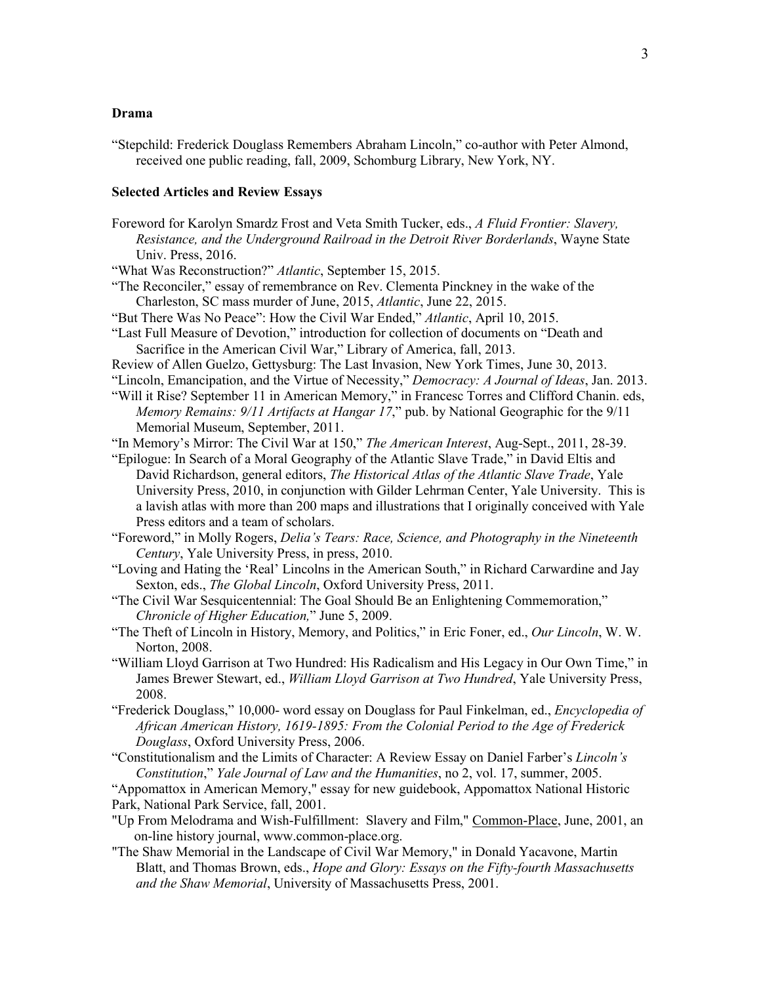### **Drama**

"Stepchild: Frederick Douglass Remembers Abraham Lincoln," co-author with Peter Almond, received one public reading, fall, 2009, Schomburg Library, New York, NY.

### **Selected Articles and Review Essays**

- Foreword for Karolyn Smardz Frost and Veta Smith Tucker, eds., *A Fluid Frontier: Slavery, Resistance, and the Underground Railroad in the Detroit River Borderlands*, Wayne State Univ. Press, 2016.
- "What Was Reconstruction?" *Atlantic*, September 15, 2015.
- "The Reconciler," essay of remembrance on Rev. Clementa Pinckney in the wake of the Charleston, SC mass murder of June, 2015, *Atlantic*, June 22, 2015.
- "But There Was No Peace": How the Civil War Ended," *Atlantic*, April 10, 2015.
- "Last Full Measure of Devotion," introduction for collection of documents on "Death and Sacrifice in the American Civil War," Library of America, fall, 2013.
- Review of Allen Guelzo, Gettysburg: The Last Invasion, New York Times, June 30, 2013.
- "Lincoln, Emancipation, and the Virtue of Necessity," *Democracy: A Journal of Ideas*, Jan. 2013. "Will it Rise? September 11 in American Memory," in Francesc Torres and Clifford Chanin. eds, *Memory Remains: 9/11 Artifacts at Hangar 17*," pub. by National Geographic for the 9/11 Memorial Museum, September, 2011.
- "In Memory's Mirror: The Civil War at 150," *The American Interest*, Aug-Sept., 2011, 28-39.
- "Epilogue: In Search of a Moral Geography of the Atlantic Slave Trade," in David Eltis and David Richardson, general editors, *The Historical Atlas of the Atlantic Slave Trade*, Yale University Press, 2010, in conjunction with Gilder Lehrman Center, Yale University. This is a lavish atlas with more than 200 maps and illustrations that I originally conceived with Yale Press editors and a team of scholars.
- "Foreword," in Molly Rogers, *Delia's Tears: Race, Science, and Photography in the Nineteenth Century*, Yale University Press, in press, 2010.
- "Loving and Hating the 'Real' Lincolns in the American South," in Richard Carwardine and Jay Sexton, eds., *The Global Lincoln*, Oxford University Press, 2011.
- "The Civil War Sesquicentennial: The Goal Should Be an Enlightening Commemoration," *Chronicle of Higher Education,*" June 5, 2009.
- "The Theft of Lincoln in History, Memory, and Politics," in Eric Foner, ed., *Our Lincoln*, W. W. Norton, 2008.
- "William Lloyd Garrison at Two Hundred: His Radicalism and His Legacy in Our Own Time," in James Brewer Stewart, ed., *William Lloyd Garrison at Two Hundred*, Yale University Press, 2008.
- "Frederick Douglass," 10,000- word essay on Douglass for Paul Finkelman, ed., *Encyclopedia of African American History, 1619-1895: From the Colonial Period to the Age of Frederick Douglass*, Oxford University Press, 2006.

"Constitutionalism and the Limits of Character: A Review Essay on Daniel Farber's *Lincoln's Constitution*," *Yale Journal of Law and the Humanities*, no 2, vol. 17, summer, 2005.

"Appomattox in American Memory," essay for new guidebook, Appomattox National Historic Park, National Park Service, fall, 2001.

- "Up From Melodrama and Wish-Fulfillment: Slavery and Film," Common-Place, June, 2001, an on-line history journal, www.common-place.org.
- "The Shaw Memorial in the Landscape of Civil War Memory," in Donald Yacavone, Martin Blatt, and Thomas Brown, eds., *Hope and Glory: Essays on the Fifty-fourth Massachusetts and the Shaw Memorial*, University of Massachusetts Press, 2001.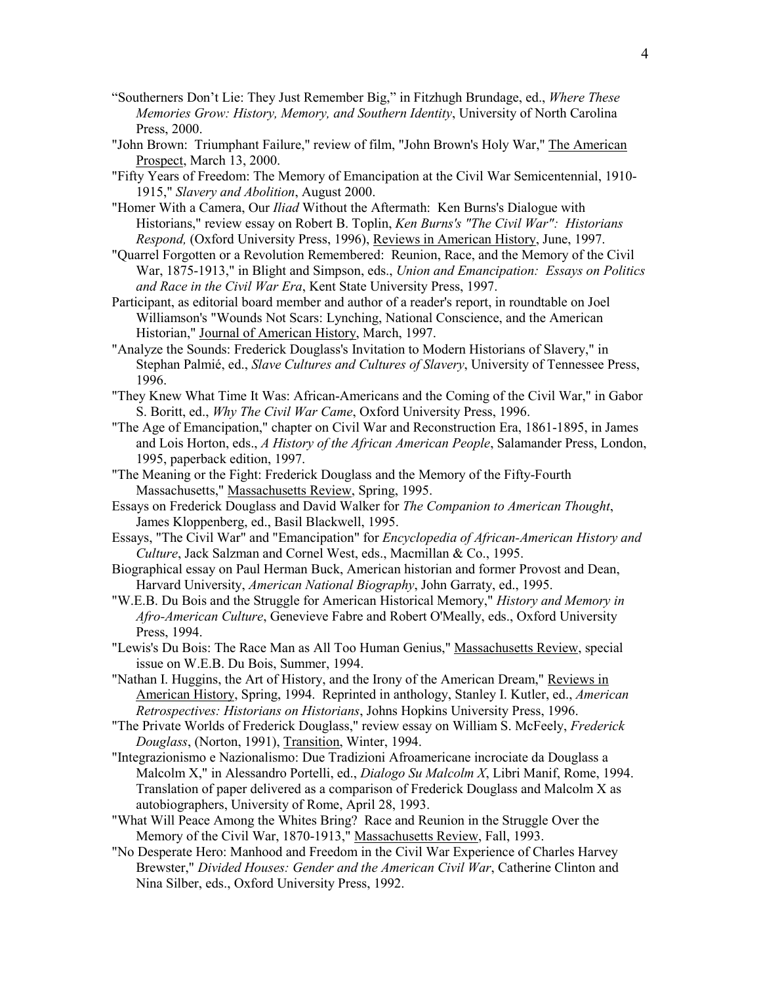- "Southerners Don't Lie: They Just Remember Big," in Fitzhugh Brundage, ed., *Where These Memories Grow: History, Memory, and Southern Identity*, University of North Carolina Press, 2000.
- "John Brown: Triumphant Failure," review of film, "John Brown's Holy War," The American Prospect, March 13, 2000.
- "Fifty Years of Freedom: The Memory of Emancipation at the Civil War Semicentennial, 1910- 1915," *Slavery and Abolition*, August 2000.
- "Homer With a Camera, Our *Iliad* Without the Aftermath: Ken Burns's Dialogue with Historians," review essay on Robert B. Toplin, *Ken Burns's "The Civil War": Historians Respond,* (Oxford University Press, 1996), Reviews in American History, June, 1997.
- "Quarrel Forgotten or a Revolution Remembered: Reunion, Race, and the Memory of the Civil War, 1875-1913," in Blight and Simpson, eds., *Union and Emancipation: Essays on Politics and Race in the Civil War Era*, Kent State University Press, 1997.
- Participant, as editorial board member and author of a reader's report, in roundtable on Joel Williamson's "Wounds Not Scars: Lynching, National Conscience, and the American Historian," Journal of American History, March, 1997.
- "Analyze the Sounds: Frederick Douglass's Invitation to Modern Historians of Slavery," in Stephan Palmié, ed., *Slave Cultures and Cultures of Slavery*, University of Tennessee Press, 1996.
- "They Knew What Time It Was: African-Americans and the Coming of the Civil War," in Gabor S. Boritt, ed., *Why The Civil War Came*, Oxford University Press, 1996.
- "The Age of Emancipation," chapter on Civil War and Reconstruction Era, 1861-1895, in James and Lois Horton, eds., *A History of the African American People*, Salamander Press, London, 1995, paperback edition, 1997.
- "The Meaning or the Fight: Frederick Douglass and the Memory of the Fifty-Fourth Massachusetts," Massachusetts Review, Spring, 1995.
- Essays on Frederick Douglass and David Walker for *The Companion to American Thought*, James Kloppenberg, ed., Basil Blackwell, 1995.
- Essays, "The Civil War" and "Emancipation" for *Encyclopedia of African-American History and Culture*, Jack Salzman and Cornel West, eds., Macmillan & Co., 1995.
- Biographical essay on Paul Herman Buck, American historian and former Provost and Dean, Harvard University, *American National Biography*, John Garraty, ed., 1995.
- "W.E.B. Du Bois and the Struggle for American Historical Memory," *History and Memory in Afro-American Culture*, Genevieve Fabre and Robert O'Meally, eds., Oxford University Press, 1994.
- "Lewis's Du Bois: The Race Man as All Too Human Genius," Massachusetts Review, special issue on W.E.B. Du Bois, Summer, 1994.
- "Nathan I. Huggins, the Art of History, and the Irony of the American Dream," Reviews in American History, Spring, 1994. Reprinted in anthology, Stanley I. Kutler, ed., *American Retrospectives: Historians on Historians*, Johns Hopkins University Press, 1996.
- "The Private Worlds of Frederick Douglass," review essay on William S. McFeely, *Frederick Douglass*, (Norton, 1991), Transition, Winter, 1994.
- "Integrazionismo e Nazionalismo: Due Tradizioni Afroamericane incrociate da Douglass a Malcolm X," in Alessandro Portelli, ed., *Dialogo Su Malcolm X*, Libri Manif, Rome, 1994. Translation of paper delivered as a comparison of Frederick Douglass and Malcolm X as autobiographers, University of Rome, April 28, 1993.
- "What Will Peace Among the Whites Bring? Race and Reunion in the Struggle Over the Memory of the Civil War, 1870-1913," Massachusetts Review, Fall, 1993.
- "No Desperate Hero: Manhood and Freedom in the Civil War Experience of Charles Harvey Brewster," *Divided Houses: Gender and the American Civil War*, Catherine Clinton and Nina Silber, eds., Oxford University Press, 1992.